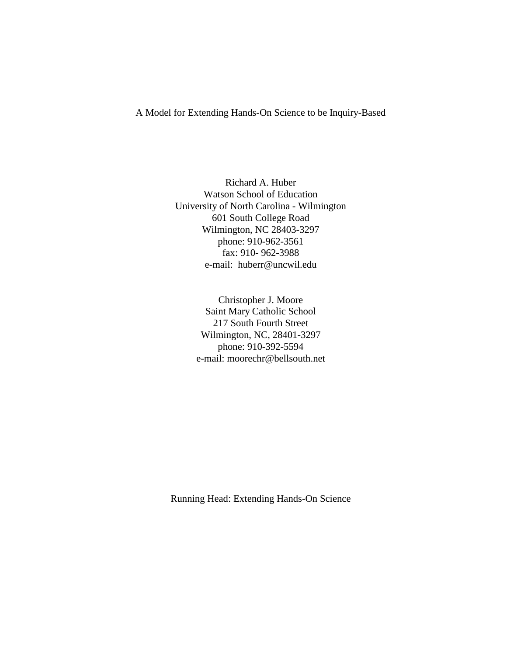A Model for Extending Hands-On Science to be Inquiry-Based

Richard A. Huber Watson School of Education University of North Carolina - Wilmington 601 South College Road Wilmington, NC 28403-3297 phone: 910-962-3561 fax: 910- 962-3988 e-mail: huberr@uncwil.edu

> Christopher J. Moore Saint Mary Catholic School 217 South Fourth Street Wilmington, NC, 28401-3297 phone: 910-392-5594 e-mail: moorechr@bellsouth.net

Running Head: Extending Hands-On Science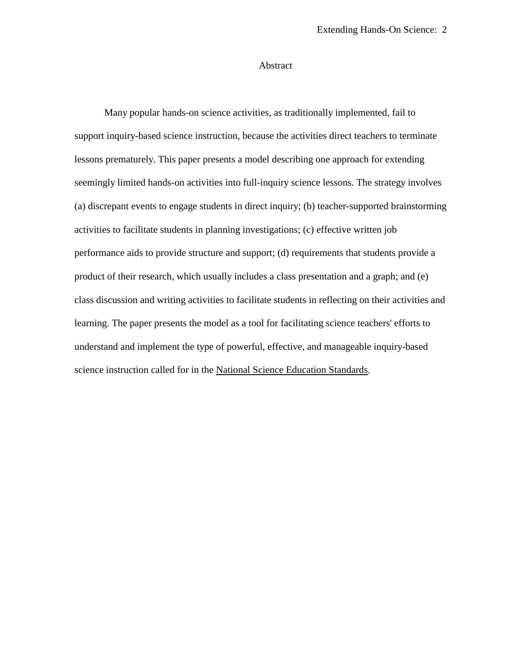# Abstract

Many popular hands-on science activities, as traditionally implemented, fail to support inquiry-based science instruction, because the activities direct teachers to terminate lessons prematurely. This paper presents a model describing one approach for extending seemingly limited hands-on activities into full-inquiry science lessons. The strategy involves (a) discrepant events to engage students in direct inquiry; (b) teacher-supported brainstorming activities to facilitate students in planning investigations; (c) effective written job performance aids to provide structure and support; (d) requirements that students provide a product of their research, which usually includes a class presentation and a graph; and (e) class discussion and writing activities to facilitate students in reflecting on their activities and learning. The paper presents the model as a tool for facilitating science teachers' efforts to understand and implement the type of powerful, effective, and manageable inquiry-based science instruction called for in the National Science Education Standards.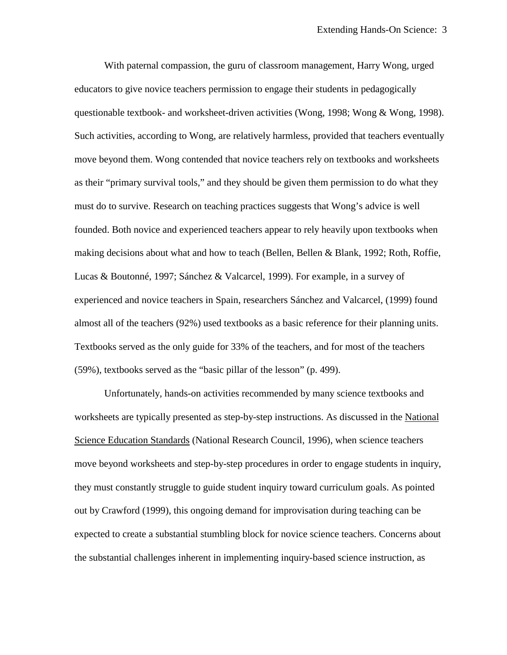With paternal compassion, the guru of classroom management, Harry Wong, urged educators to give novice teachers permission to engage their students in pedagogically questionable textbook- and worksheet-driven activities (Wong, 1998; Wong & Wong, 1998). Such activities, according to Wong, are relatively harmless, provided that teachers eventually move beyond them. Wong contended that novice teachers rely on textbooks and worksheets as their "primary survival tools," and they should be given them permission to do what they must do to survive. Research on teaching practices suggests that Wong's advice is well founded. Both novice and experienced teachers appear to rely heavily upon textbooks when making decisions about what and how to teach (Bellen, Bellen  $\&$  Blank, 1992; Roth, Roffie, Lucas & Boutonné, 1997; Sánchez & Valcarcel, 1999). For example, in a survey of experienced and novice teachers in Spain, researchers Sánchez and Valcarcel, (1999) found almost all of the teachers (92%) used textbooks as a basic reference for their planning units. Textbooks served as the only guide for 33% of the teachers, and for most of the teachers (59%), textbooks served as the "basic pillar of the lesson" (p. 499).

Unfortunately, hands-on activities recommended by many science textbooks and worksheets are typically presented as step-by-step instructions. As discussed in the National Science Education Standards (National Research Council, 1996), when science teachers move beyond worksheets and step-by-step procedures in order to engage students in inquiry, they must constantly struggle to guide student inquiry toward curriculum goals. As pointed out by Crawford (1999), this ongoing demand for improvisation during teaching can be expected to create a substantial stumbling block for novice science teachers. Concerns about the substantial challenges inherent in implementing inquiry-based science instruction, as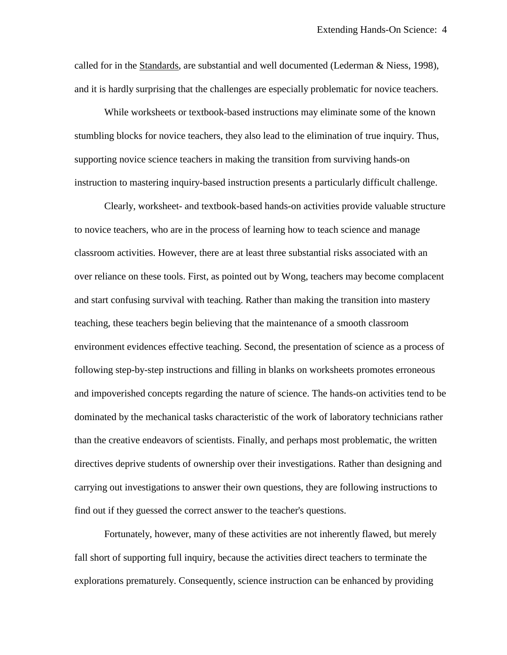called for in the Standards, are substantial and well documented (Lederman & Niess, 1998), and it is hardly surprising that the challenges are especially problematic for novice teachers.

While worksheets or textbook-based instructions may eliminate some of the known stumbling blocks for novice teachers, they also lead to the elimination of true inquiry. Thus, supporting novice science teachers in making the transition from surviving hands-on instruction to mastering inquiry-based instruction presents a particularly difficult challenge.

Clearly, worksheet- and textbook-based hands-on activities provide valuable structure to novice teachers, who are in the process of learning how to teach science and manage classroom activities. However, there are at least three substantial risks associated with an over reliance on these tools. First, as pointed out by Wong, teachers may become complacent and start confusing survival with teaching. Rather than making the transition into mastery teaching, these teachers begin believing that the maintenance of a smooth classroom environment evidences effective teaching. Second, the presentation of science as a process of following step-by-step instructions and filling in blanks on worksheets promotes erroneous and impoverished concepts regarding the nature of science. The hands-on activities tend to be dominated by the mechanical tasks characteristic of the work of laboratory technicians rather than the creative endeavors of scientists. Finally, and perhaps most problematic, the written directives deprive students of ownership over their investigations. Rather than designing and carrying out investigations to answer their own questions, they are following instructions to find out if they guessed the correct answer to the teacher's questions.

Fortunately, however, many of these activities are not inherently flawed, but merely fall short of supporting full inquiry, because the activities direct teachers to terminate the explorations prematurely. Consequently, science instruction can be enhanced by providing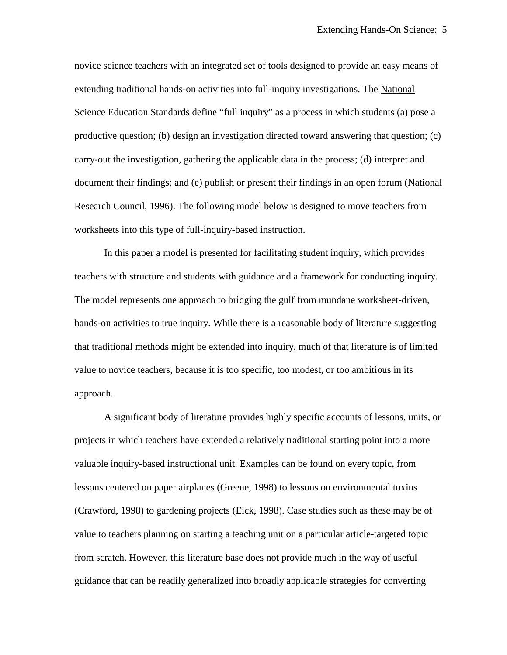novice science teachers with an integrated set of tools designed to provide an easy means of extending traditional hands-on activities into full-inquiry investigations. The National Science Education Standards define "full inquiry" as a process in which students (a) pose a productive question; (b) design an investigation directed toward answering that question; (c) carry-out the investigation, gathering the applicable data in the process; (d) interpret and document their findings; and (e) publish or present their findings in an open forum (National Research Council, 1996). The following model below is designed to move teachers from worksheets into this type of full-inquiry-based instruction.

In this paper a model is presented for facilitating student inquiry, which provides teachers with structure and students with guidance and a framework for conducting inquiry. The model represents one approach to bridging the gulf from mundane worksheet-driven, hands-on activities to true inquiry. While there is a reasonable body of literature suggesting that traditional methods might be extended into inquiry, much of that literature is of limited value to novice teachers, because it is too specific, too modest, or too ambitious in its approach.

A significant body of literature provides highly specific accounts of lessons, units, or projects in which teachers have extended a relatively traditional starting point into a more valuable inquiry-based instructional unit. Examples can be found on every topic, from lessons centered on paper airplanes (Greene, 1998) to lessons on environmental toxins (Crawford, 1998) to gardening projects (Eick, 1998). Case studies such as these may be of value to teachers planning on starting a teaching unit on a particular article-targeted topic from scratch. However, this literature base does not provide much in the way of useful guidance that can be readily generalized into broadly applicable strategies for converting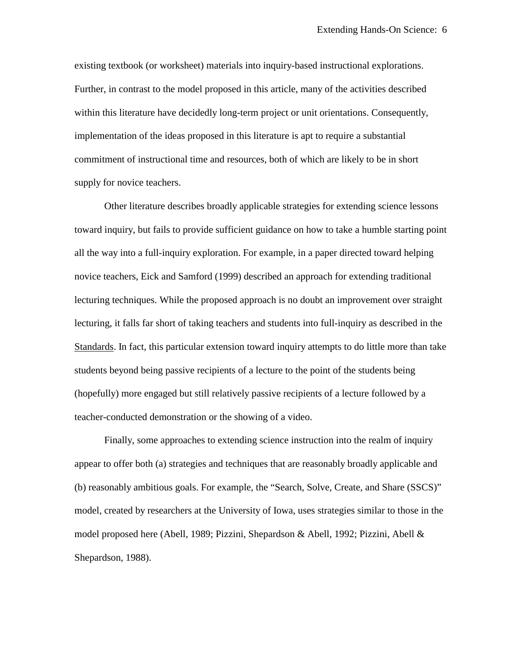existing textbook (or worksheet) materials into inquiry-based instructional explorations. Further, in contrast to the model proposed in this article, many of the activities described within this literature have decidedly long-term project or unit orientations. Consequently, implementation of the ideas proposed in this literature is apt to require a substantial commitment of instructional time and resources, both of which are likely to be in short supply for novice teachers.

Other literature describes broadly applicable strategies for extending science lessons toward inquiry, but fails to provide sufficient guidance on how to take a humble starting point all the way into a full-inquiry exploration. For example, in a paper directed toward helping novice teachers, Eick and Samford (1999) described an approach for extending traditional lecturing techniques. While the proposed approach is no doubt an improvement over straight lecturing, it falls far short of taking teachers and students into full-inquiry as described in the Standards. In fact, this particular extension toward inquiry attempts to do little more than take students beyond being passive recipients of a lecture to the point of the students being (hopefully) more engaged but still relatively passive recipients of a lecture followed by a teacher-conducted demonstration or the showing of a video.

Finally, some approaches to extending science instruction into the realm of inquiry appear to offer both (a) strategies and techniques that are reasonably broadly applicable and (b) reasonably ambitious goals. For example, the "Search, Solve, Create, and Share (SSCS)" model, created by researchers at the University of Iowa, uses strategies similar to those in the model proposed here (Abell, 1989; Pizzini, Shepardson & Abell, 1992; Pizzini, Abell & Shepardson, 1988).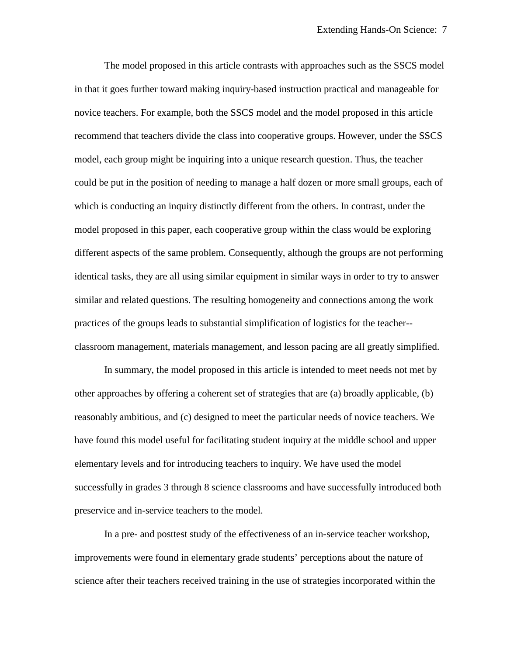The model proposed in this article contrasts with approaches such as the SSCS model in that it goes further toward making inquiry-based instruction practical and manageable for novice teachers. For example, both the SSCS model and the model proposed in this article recommend that teachers divide the class into cooperative groups. However, under the SSCS model, each group might be inquiring into a unique research question. Thus, the teacher could be put in the position of needing to manage a half dozen or more small groups, each of which is conducting an inquiry distinctly different from the others. In contrast, under the model proposed in this paper, each cooperative group within the class would be exploring different aspects of the same problem. Consequently, although the groups are not performing identical tasks, they are all using similar equipment in similar ways in order to try to answer similar and related questions. The resulting homogeneity and connections among the work practices of the groups leads to substantial simplification of logistics for the teacher- classroom management, materials management, and lesson pacing are all greatly simplified.

In summary, the model proposed in this article is intended to meet needs not met by other approaches by offering a coherent set of strategies that are (a) broadly applicable, (b) reasonably ambitious, and (c) designed to meet the particular needs of novice teachers. We have found this model useful for facilitating student inquiry at the middle school and upper elementary levels and for introducing teachers to inquiry. We have used the model successfully in grades 3 through 8 science classrooms and have successfully introduced both preservice and in-service teachers to the model.

In a pre- and posttest study of the effectiveness of an in-service teacher workshop, improvements were found in elementary grade students' perceptions about the nature of science after their teachers received training in the use of strategies incorporated within the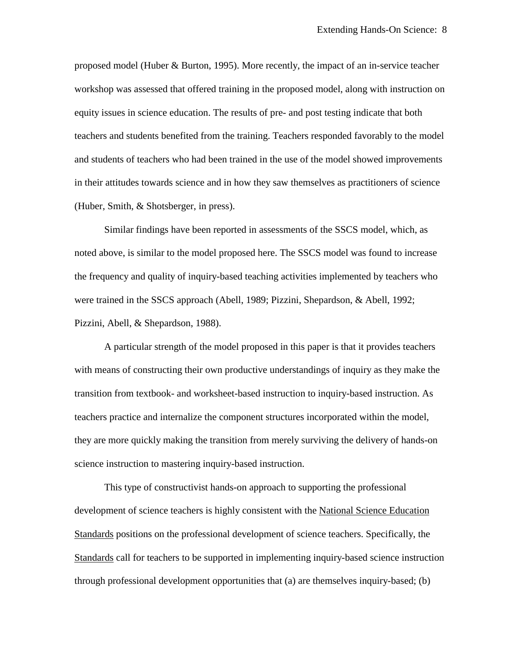proposed model (Huber & Burton, 1995). More recently, the impact of an in-service teacher workshop was assessed that offered training in the proposed model, along with instruction on equity issues in science education. The results of pre- and post testing indicate that both teachers and students benefited from the training. Teachers responded favorably to the model and students of teachers who had been trained in the use of the model showed improvements in their attitudes towards science and in how they saw themselves as practitioners of science (Huber, Smith, & Shotsberger, in press).

Similar findings have been reported in assessments of the SSCS model, which, as noted above, is similar to the model proposed here. The SSCS model was found to increase the frequency and quality of inquiry-based teaching activities implemented by teachers who were trained in the SSCS approach (Abell, 1989; Pizzini, Shepardson, & Abell, 1992; Pizzini, Abell, & Shepardson, 1988).

A particular strength of the model proposed in this paper is that it provides teachers with means of constructing their own productive understandings of inquiry as they make the transition from textbook- and worksheet-based instruction to inquiry-based instruction. As teachers practice and internalize the component structures incorporated within the model, they are more quickly making the transition from merely surviving the delivery of hands-on science instruction to mastering inquiry-based instruction.

This type of constructivist hands-on approach to supporting the professional development of science teachers is highly consistent with the National Science Education Standards positions on the professional development of science teachers. Specifically, the Standards call for teachers to be supported in implementing inquiry-based science instruction through professional development opportunities that (a) are themselves inquiry-based; (b)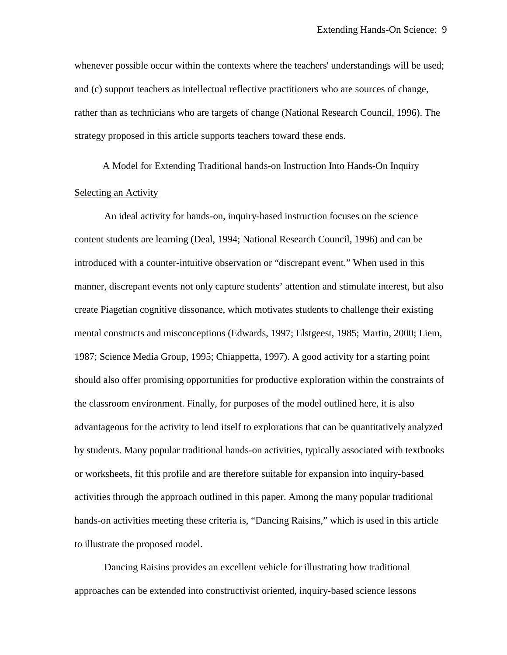whenever possible occur within the contexts where the teachers' understandings will be used; and (c) support teachers as intellectual reflective practitioners who are sources of change, rather than as technicians who are targets of change (National Research Council, 1996). The strategy proposed in this article supports teachers toward these ends.

A Model for Extending Traditional hands-on Instruction Into Hands-On Inquiry Selecting an Activity

An ideal activity for hands-on, inquiry-based instruction focuses on the science content students are learning (Deal, 1994; National Research Council, 1996) and can be introduced with a counter-intuitive observation or "discrepant event." When used in this manner, discrepant events not only capture students' attention and stimulate interest, but also create Piagetian cognitive dissonance, which motivates students to challenge their existing mental constructs and misconceptions (Edwards, 1997; Elstgeest, 1985; Martin, 2000; Liem, 1987; Science Media Group, 1995; Chiappetta, 1997). A good activity for a starting point should also offer promising opportunities for productive exploration within the constraints of the classroom environment. Finally, for purposes of the model outlined here, it is also advantageous for the activity to lend itself to explorations that can be quantitatively analyzed by students. Many popular traditional hands-on activities, typically associated with textbooks or worksheets, fit this profile and are therefore suitable for expansion into inquiry-based activities through the approach outlined in this paper. Among the many popular traditional hands-on activities meeting these criteria is, "Dancing Raisins," which is used in this article to illustrate the proposed model.

Dancing Raisins provides an excellent vehicle for illustrating how traditional approaches can be extended into constructivist oriented, inquiry-based science lessons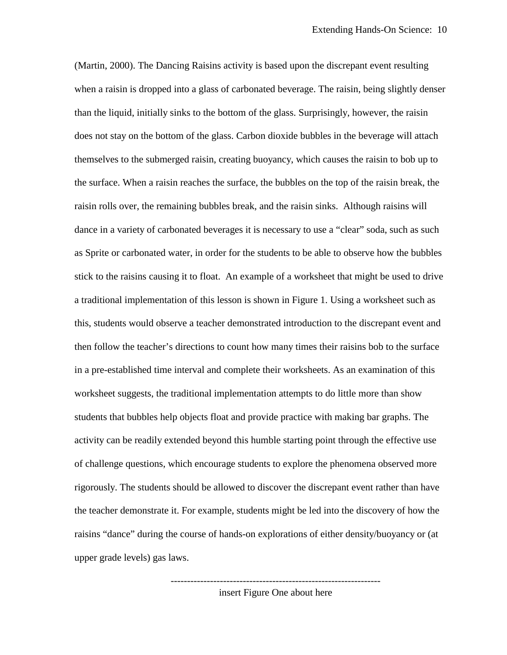(Martin, 2000). The Dancing Raisins activity is based upon the discrepant event resulting when a raisin is dropped into a glass of carbonated beverage. The raisin, being slightly denser than the liquid, initially sinks to the bottom of the glass. Surprisingly, however, the raisin does not stay on the bottom of the glass. Carbon dioxide bubbles in the beverage will attach themselves to the submerged raisin, creating buoyancy, which causes the raisin to bob up to the surface. When a raisin reaches the surface, the bubbles on the top of the raisin break, the raisin rolls over, the remaining bubbles break, and the raisin sinks. Although raisins will dance in a variety of carbonated beverages it is necessary to use a "clear" soda, such as such as Sprite or carbonated water, in order for the students to be able to observe how the bubbles stick to the raisins causing it to float. An example of a worksheet that might be used to drive a traditional implementation of this lesson is shown in Figure 1. Using a worksheet such as this, students would observe a teacher demonstrated introduction to the discrepant event and then follow the teacher's directions to count how many times their raisins bob to the surface in a pre-established time interval and complete their worksheets. As an examination of this worksheet suggests, the traditional implementation attempts to do little more than show students that bubbles help objects float and provide practice with making bar graphs. The activity can be readily extended beyond this humble starting point through the effective use of challenge questions, which encourage students to explore the phenomena observed more rigorously. The students should be allowed to discover the discrepant event rather than have the teacher demonstrate it. For example, students might be led into the discovery of how the raisins "dance" during the course of hands-on explorations of either density/buoyancy or (at upper grade levels) gas laws.

> --------------------------------------------------------------- insert Figure One about here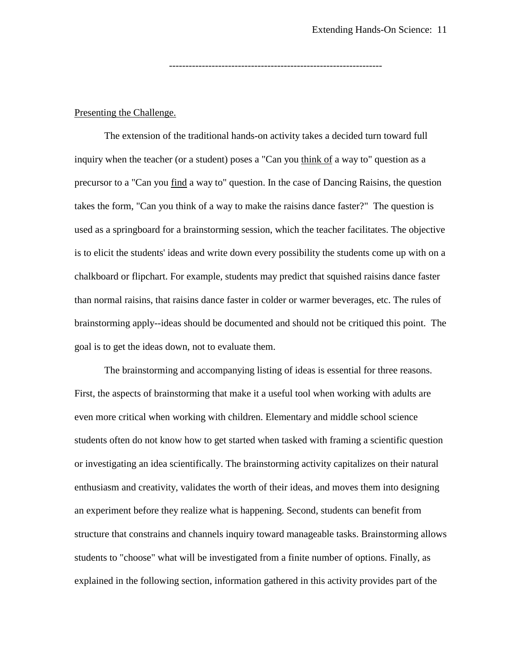-----------------------------------------------------------------

# Presenting the Challenge.

The extension of the traditional hands-on activity takes a decided turn toward full inquiry when the teacher (or a student) poses a "Can you think of a way to" question as a precursor to a "Can you find a way to" question. In the case of Dancing Raisins, the question takes the form, "Can you think of a way to make the raisins dance faster?" The question is used as a springboard for a brainstorming session, which the teacher facilitates. The objective is to elicit the students' ideas and write down every possibility the students come up with on a chalkboard or flipchart. For example, students may predict that squished raisins dance faster than normal raisins, that raisins dance faster in colder or warmer beverages, etc. The rules of brainstorming apply--ideas should be documented and should not be critiqued this point. The goal is to get the ideas down, not to evaluate them.

The brainstorming and accompanying listing of ideas is essential for three reasons. First, the aspects of brainstorming that make it a useful tool when working with adults are even more critical when working with children. Elementary and middle school science students often do not know how to get started when tasked with framing a scientific question or investigating an idea scientifically. The brainstorming activity capitalizes on their natural enthusiasm and creativity, validates the worth of their ideas, and moves them into designing an experiment before they realize what is happening. Second, students can benefit from structure that constrains and channels inquiry toward manageable tasks. Brainstorming allows students to "choose" what will be investigated from a finite number of options. Finally, as explained in the following section, information gathered in this activity provides part of the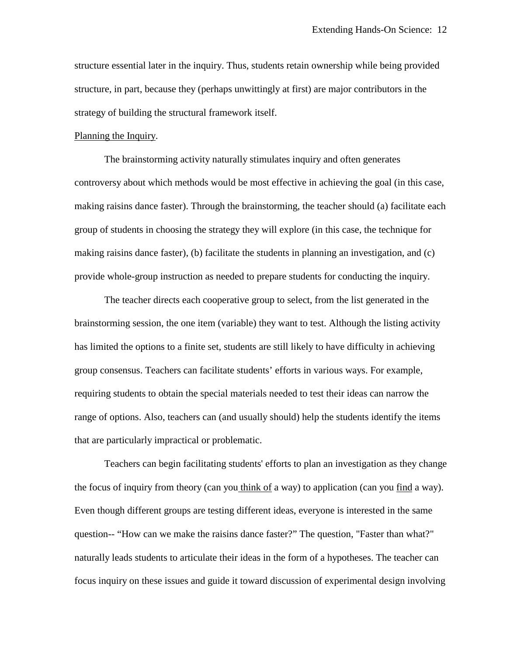structure essential later in the inquiry. Thus, students retain ownership while being provided structure, in part, because they (perhaps unwittingly at first) are major contributors in the strategy of building the structural framework itself.

## Planning the Inquiry.

The brainstorming activity naturally stimulates inquiry and often generates controversy about which methods would be most effective in achieving the goal (in this case, making raisins dance faster). Through the brainstorming, the teacher should (a) facilitate each group of students in choosing the strategy they will explore (in this case, the technique for making raisins dance faster), (b) facilitate the students in planning an investigation, and (c) provide whole-group instruction as needed to prepare students for conducting the inquiry.

The teacher directs each cooperative group to select, from the list generated in the brainstorming session, the one item (variable) they want to test. Although the listing activity has limited the options to a finite set, students are still likely to have difficulty in achieving group consensus. Teachers can facilitate students' efforts in various ways. For example, requiring students to obtain the special materials needed to test their ideas can narrow the range of options. Also, teachers can (and usually should) help the students identify the items that are particularly impractical or problematic.

Teachers can begin facilitating students' efforts to plan an investigation as they change the focus of inquiry from theory (can you think of a way) to application (can you find a way). Even though different groups are testing different ideas, everyone is interested in the same question-- "How can we make the raisins dance faster?" The question, "Faster than what?" naturally leads students to articulate their ideas in the form of a hypotheses. The teacher can focus inquiry on these issues and guide it toward discussion of experimental design involving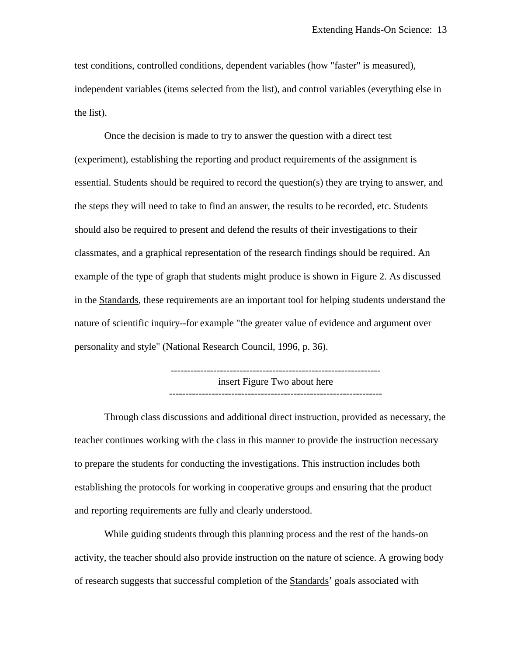test conditions, controlled conditions, dependent variables (how "faster" is measured), independent variables (items selected from the list), and control variables (everything else in the list).

Once the decision is made to try to answer the question with a direct test (experiment), establishing the reporting and product requirements of the assignment is essential. Students should be required to record the question(s) they are trying to answer, and the steps they will need to take to find an answer, the results to be recorded, etc. Students should also be required to present and defend the results of their investigations to their classmates, and a graphical representation of the research findings should be required. An example of the type of graph that students might produce is shown in Figure 2. As discussed in the Standards, these requirements are an important tool for helping students understand the nature of scientific inquiry--for example "the greater value of evidence and argument over personality and style" (National Research Council, 1996, p. 36).

> --------------------------------------------------------------- insert Figure Two about here -----------------------------------------------------------------

Through class discussions and additional direct instruction, provided as necessary, the teacher continues working with the class in this manner to provide the instruction necessary to prepare the students for conducting the investigations. This instruction includes both establishing the protocols for working in cooperative groups and ensuring that the product and reporting requirements are fully and clearly understood.

While guiding students through this planning process and the rest of the hands-on activity, the teacher should also provide instruction on the nature of science. A growing body of research suggests that successful completion of the Standards' goals associated with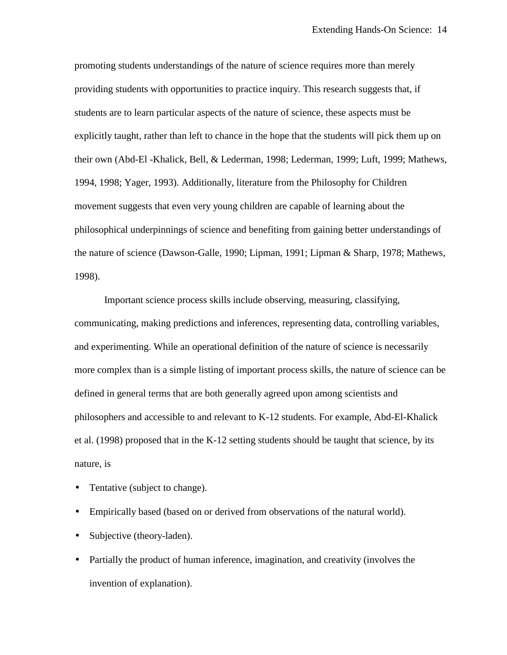promoting students understandings of the nature of science requires more than merely providing students with opportunities to practice inquiry. This research suggests that, if students are to learn particular aspects of the nature of science, these aspects must be explicitly taught, rather than left to chance in the hope that the students will pick them up on their own (Abd-El -Khalick, Bell, & Lederman, 1998; Lederman, 1999; Luft, 1999; Mathews, 1994, 1998; Yager, 1993). Additionally, literature from the Philosophy for Children movement suggests that even very young children are capable of learning about the philosophical underpinnings of science and benefiting from gaining better understandings of the nature of science (Dawson-Galle, 1990; Lipman, 1991; Lipman & Sharp, 1978; Mathews, 1998).

Important science process skills include observing, measuring, classifying, communicating, making predictions and inferences, representing data, controlling variables, and experimenting. While an operational definition of the nature of science is necessarily more complex than is a simple listing of important process skills, the nature of science can be defined in general terms that are both generally agreed upon among scientists and philosophers and accessible to and relevant to K-12 students. For example, Abd-El-Khalick et al. (1998) proposed that in the K-12 setting students should be taught that science, by its nature, is

- Tentative (subject to change).
- Empirically based (based on or derived from observations of the natural world).
- Subjective (theory-laden).
- Partially the product of human inference, imagination, and creativity (involves the invention of explanation).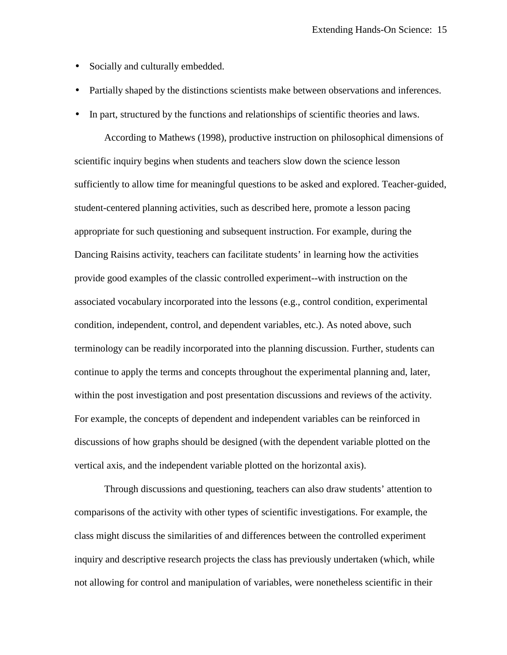- Socially and culturally embedded.
- Partially shaped by the distinctions scientists make between observations and inferences.
- In part, structured by the functions and relationships of scientific theories and laws.

According to Mathews (1998), productive instruction on philosophical dimensions of scientific inquiry begins when students and teachers slow down the science lesson sufficiently to allow time for meaningful questions to be asked and explored. Teacher-guided, student-centered planning activities, such as described here, promote a lesson pacing appropriate for such questioning and subsequent instruction. For example, during the Dancing Raisins activity, teachers can facilitate students' in learning how the activities provide good examples of the classic controlled experiment--with instruction on the associated vocabulary incorporated into the lessons (e.g., control condition, experimental condition, independent, control, and dependent variables, etc.). As noted above, such terminology can be readily incorporated into the planning discussion. Further, students can continue to apply the terms and concepts throughout the experimental planning and, later, within the post investigation and post presentation discussions and reviews of the activity. For example, the concepts of dependent and independent variables can be reinforced in discussions of how graphs should be designed (with the dependent variable plotted on the vertical axis, and the independent variable plotted on the horizontal axis).

Through discussions and questioning, teachers can also draw students' attention to comparisons of the activity with other types of scientific investigations. For example, the class might discuss the similarities of and differences between the controlled experiment inquiry and descriptive research projects the class has previously undertaken (which, while not allowing for control and manipulation of variables, were nonetheless scientific in their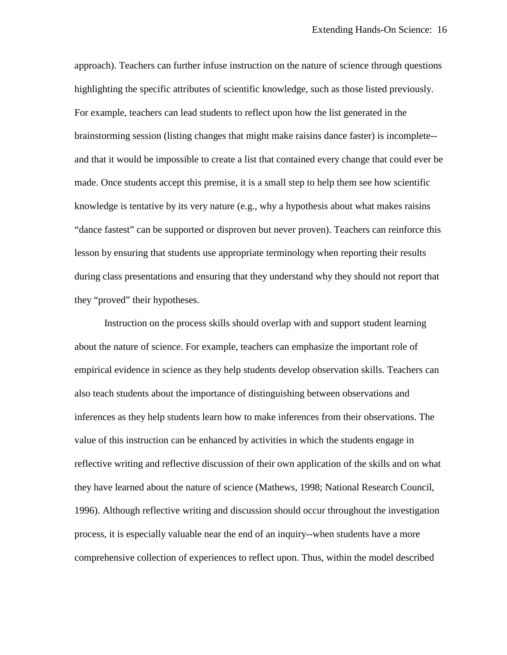approach). Teachers can further infuse instruction on the nature of science through questions highlighting the specific attributes of scientific knowledge, such as those listed previously. For example, teachers can lead students to reflect upon how the list generated in the brainstorming session (listing changes that might make raisins dance faster) is incomplete- and that it would be impossible to create a list that contained every change that could ever be made. Once students accept this premise, it is a small step to help them see how scientific knowledge is tentative by its very nature (e.g., why a hypothesis about what makes raisins "dance fastest" can be supported or disproven but never proven). Teachers can reinforce this lesson by ensuring that students use appropriate terminology when reporting their results during class presentations and ensuring that they understand why they should not report that they "proved" their hypotheses.

Instruction on the process skills should overlap with and support student learning about the nature of science. For example, teachers can emphasize the important role of empirical evidence in science as they help students develop observation skills. Teachers can also teach students about the importance of distinguishing between observations and inferences as they help students learn how to make inferences from their observations. The value of this instruction can be enhanced by activities in which the students engage in reflective writing and reflective discussion of their own application of the skills and on what they have learned about the nature of science (Mathews, 1998; National Research Council, 1996). Although reflective writing and discussion should occur throughout the investigation process, it is especially valuable near the end of an inquiry--when students have a more comprehensive collection of experiences to reflect upon. Thus, within the model described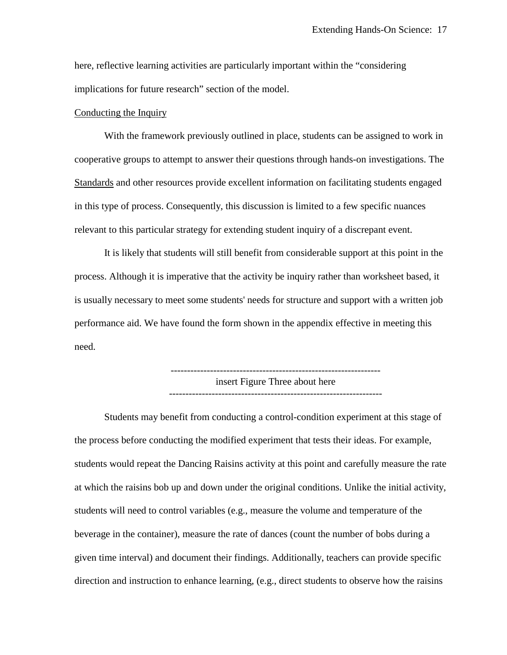here, reflective learning activities are particularly important within the "considering implications for future research" section of the model.

## Conducting the Inquiry

With the framework previously outlined in place, students can be assigned to work in cooperative groups to attempt to answer their questions through hands-on investigations. The Standards and other resources provide excellent information on facilitating students engaged in this type of process. Consequently, this discussion is limited to a few specific nuances relevant to this particular strategy for extending student inquiry of a discrepant event.

It is likely that students will still benefit from considerable support at this point in the process. Although it is imperative that the activity be inquiry rather than worksheet based, it is usually necessary to meet some students' needs for structure and support with a written job performance aid. We have found the form shown in the appendix effective in meeting this need.

> --------------------------------------------------------------- insert Figure Three about here -----------------------------------------------------------------

Students may benefit from conducting a control-condition experiment at this stage of the process before conducting the modified experiment that tests their ideas. For example, students would repeat the Dancing Raisins activity at this point and carefully measure the rate at which the raisins bob up and down under the original conditions. Unlike the initial activity, students will need to control variables (e.g., measure the volume and temperature of the beverage in the container), measure the rate of dances (count the number of bobs during a given time interval) and document their findings. Additionally, teachers can provide specific direction and instruction to enhance learning, (e.g., direct students to observe how the raisins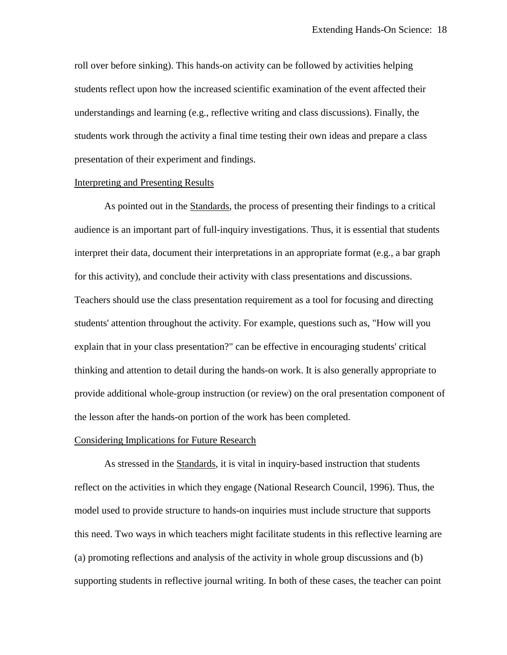roll over before sinking). This hands-on activity can be followed by activities helping students reflect upon how the increased scientific examination of the event affected their understandings and learning (e.g., reflective writing and class discussions). Finally, the students work through the activity a final time testing their own ideas and prepare a class presentation of their experiment and findings.

### Interpreting and Presenting Results

As pointed out in the Standards, the process of presenting their findings to a critical audience is an important part of full-inquiry investigations. Thus, it is essential that students interpret their data, document their interpretations in an appropriate format (e.g., a bar graph for this activity), and conclude their activity with class presentations and discussions. Teachers should use the class presentation requirement as a tool for focusing and directing students' attention throughout the activity. For example, questions such as, "How will you explain that in your class presentation?" can be effective in encouraging students' critical thinking and attention to detail during the hands-on work. It is also generally appropriate to provide additional whole-group instruction (or review) on the oral presentation component of the lesson after the hands-on portion of the work has been completed.

### Considering Implications for Future Research

As stressed in the Standards, it is vital in inquiry-based instruction that students reflect on the activities in which they engage (National Research Council, 1996). Thus, the model used to provide structure to hands-on inquiries must include structure that supports this need. Two ways in which teachers might facilitate students in this reflective learning are (a) promoting reflections and analysis of the activity in whole group discussions and (b) supporting students in reflective journal writing. In both of these cases, the teacher can point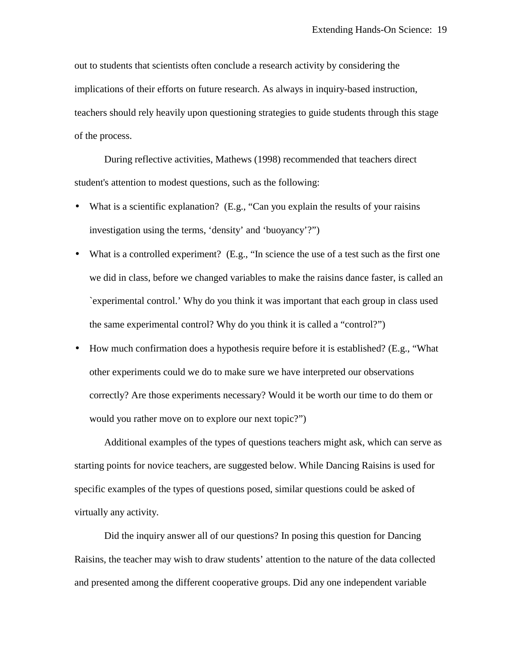out to students that scientists often conclude a research activity by considering the implications of their efforts on future research. As always in inquiry-based instruction, teachers should rely heavily upon questioning strategies to guide students through this stage of the process.

During reflective activities, Mathews (1998) recommended that teachers direct student's attention to modest questions, such as the following:

- What is a scientific explanation? (E.g., "Can you explain the results of your raisins investigation using the terms, 'density' and 'buoyancy'?")
- What is a controlled experiment? (E.g., "In science the use of a test such as the first one we did in class, before we changed variables to make the raisins dance faster, is called an `experimental control.' Why do you think it was important that each group in class used the same experimental control? Why do you think it is called a "control?")
- How much confirmation does a hypothesis require before it is established? (E.g., "What other experiments could we do to make sure we have interpreted our observations correctly? Are those experiments necessary? Would it be worth our time to do them or would you rather move on to explore our next topic?")

Additional examples of the types of questions teachers might ask, which can serve as starting points for novice teachers, are suggested below. While Dancing Raisins is used for specific examples of the types of questions posed, similar questions could be asked of virtually any activity.

Did the inquiry answer all of our questions? In posing this question for Dancing Raisins, the teacher may wish to draw students' attention to the nature of the data collected and presented among the different cooperative groups. Did any one independent variable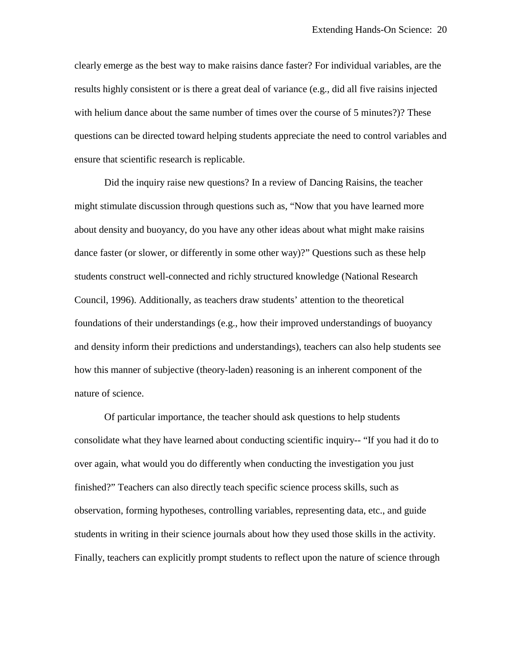clearly emerge as the best way to make raisins dance faster? For individual variables, are the results highly consistent or is there a great deal of variance (e.g., did all five raisins injected with helium dance about the same number of times over the course of 5 minutes?)? These questions can be directed toward helping students appreciate the need to control variables and ensure that scientific research is replicable.

Did the inquiry raise new questions? In a review of Dancing Raisins, the teacher might stimulate discussion through questions such as, "Now that you have learned more about density and buoyancy, do you have any other ideas about what might make raisins dance faster (or slower, or differently in some other way)?" Questions such as these help students construct well-connected and richly structured knowledge (National Research Council, 1996). Additionally, as teachers draw students' attention to the theoretical foundations of their understandings (e.g., how their improved understandings of buoyancy and density inform their predictions and understandings), teachers can also help students see how this manner of subjective (theory-laden) reasoning is an inherent component of the nature of science.

Of particular importance, the teacher should ask questions to help students consolidate what they have learned about conducting scientific inquiry-- "If you had it do to over again, what would you do differently when conducting the investigation you just finished?" Teachers can also directly teach specific science process skills, such as observation, forming hypotheses, controlling variables, representing data, etc., and guide students in writing in their science journals about how they used those skills in the activity. Finally, teachers can explicitly prompt students to reflect upon the nature of science through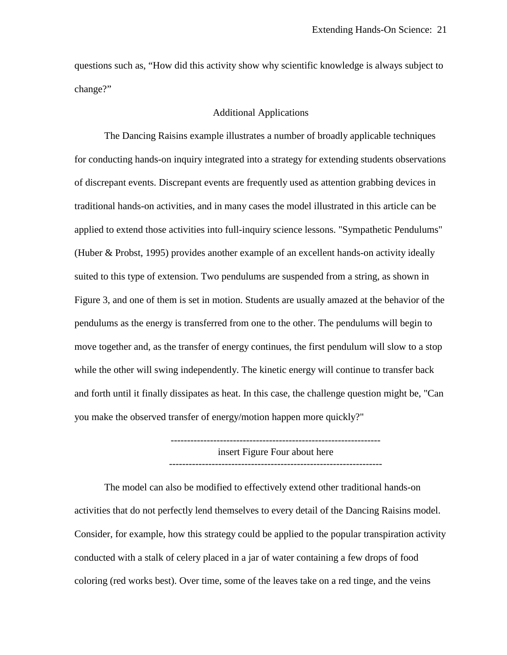questions such as, "How did this activity show why scientific knowledge is always subject to change?"

### Additional Applications

The Dancing Raisins example illustrates a number of broadly applicable techniques for conducting hands-on inquiry integrated into a strategy for extending students observations of discrepant events. Discrepant events are frequently used as attention grabbing devices in traditional hands-on activities, and in many cases the model illustrated in this article can be applied to extend those activities into full-inquiry science lessons. "Sympathetic Pendulums" (Huber & Probst, 1995) provides another example of an excellent hands-on activity ideally suited to this type of extension. Two pendulums are suspended from a string, as shown in Figure 3, and one of them is set in motion. Students are usually amazed at the behavior of the pendulums as the energy is transferred from one to the other. The pendulums will begin to move together and, as the transfer of energy continues, the first pendulum will slow to a stop while the other will swing independently. The kinetic energy will continue to transfer back and forth until it finally dissipates as heat. In this case, the challenge question might be, "Can you make the observed transfer of energy/motion happen more quickly?"

> insert Figure Four about here -----------------------------------------------------------------

The model can also be modified to effectively extend other traditional hands-on activities that do not perfectly lend themselves to every detail of the Dancing Raisins model. Consider, for example, how this strategy could be applied to the popular transpiration activity conducted with a stalk of celery placed in a jar of water containing a few drops of food coloring (red works best). Over time, some of the leaves take on a red tinge, and the veins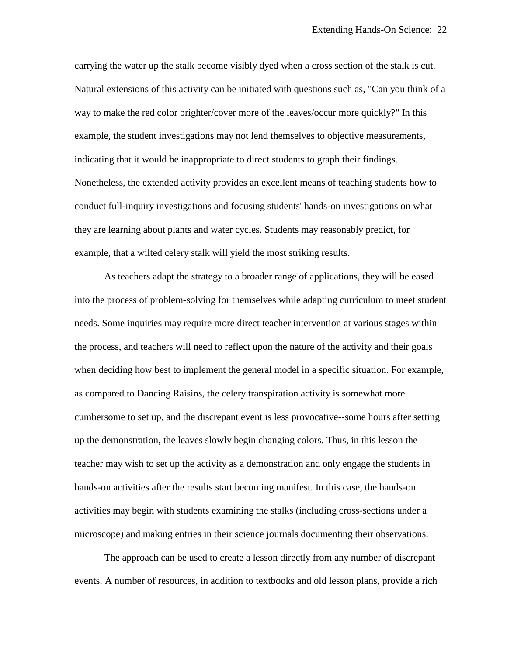carrying the water up the stalk become visibly dyed when a cross section of the stalk is cut. Natural extensions of this activity can be initiated with questions such as, "Can you think of a way to make the red color brighter/cover more of the leaves/occur more quickly?" In this example, the student investigations may not lend themselves to objective measurements, indicating that it would be inappropriate to direct students to graph their findings. Nonetheless, the extended activity provides an excellent means of teaching students how to conduct full-inquiry investigations and focusing students' hands-on investigations on what they are learning about plants and water cycles. Students may reasonably predict, for example, that a wilted celery stalk will yield the most striking results.

As teachers adapt the strategy to a broader range of applications, they will be eased into the process of problem-solving for themselves while adapting curriculum to meet student needs. Some inquiries may require more direct teacher intervention at various stages within the process, and teachers will need to reflect upon the nature of the activity and their goals when deciding how best to implement the general model in a specific situation. For example, as compared to Dancing Raisins, the celery transpiration activity is somewhat more cumbersome to set up, and the discrepant event is less provocative--some hours after setting up the demonstration, the leaves slowly begin changing colors. Thus, in this lesson the teacher may wish to set up the activity as a demonstration and only engage the students in hands-on activities after the results start becoming manifest. In this case, the hands-on activities may begin with students examining the stalks (including cross-sections under a microscope) and making entries in their science journals documenting their observations.

The approach can be used to create a lesson directly from any number of discrepant events. A number of resources, in addition to textbooks and old lesson plans, provide a rich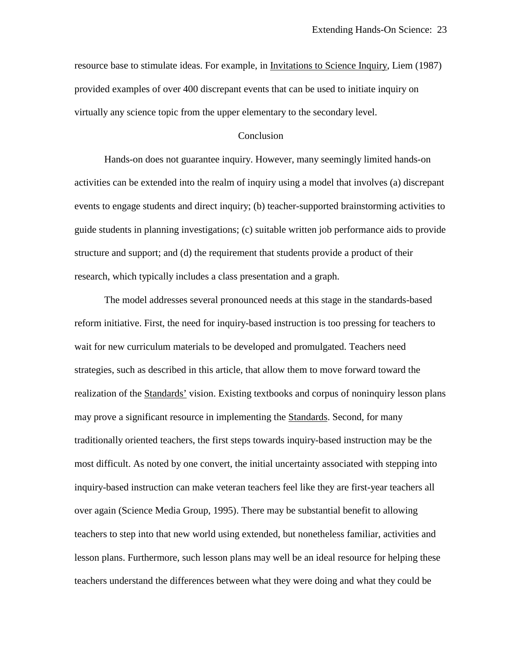resource base to stimulate ideas. For example, in *Invitations* to *Science Inquiry*, Liem (1987) provided examples of over 400 discrepant events that can be used to initiate inquiry on virtually any science topic from the upper elementary to the secondary level.

# Conclusion

Hands-on does not guarantee inquiry. However, many seemingly limited hands-on activities can be extended into the realm of inquiry using a model that involves (a) discrepant events to engage students and direct inquiry; (b) teacher-supported brainstorming activities to guide students in planning investigations; (c) suitable written job performance aids to provide structure and support; and (d) the requirement that students provide a product of their research, which typically includes a class presentation and a graph.

The model addresses several pronounced needs at this stage in the standards-based reform initiative. First, the need for inquiry-based instruction is too pressing for teachers to wait for new curriculum materials to be developed and promulgated. Teachers need strategies, such as described in this article, that allow them to move forward toward the realization of the Standards' vision. Existing textbooks and corpus of noninquiry lesson plans may prove a significant resource in implementing the Standards. Second, for many traditionally oriented teachers, the first steps towards inquiry-based instruction may be the most difficult. As noted by one convert, the initial uncertainty associated with stepping into inquiry-based instruction can make veteran teachers feel like they are first-year teachers all over again (Science Media Group, 1995). There may be substantial benefit to allowing teachers to step into that new world using extended, but nonetheless familiar, activities and lesson plans. Furthermore, such lesson plans may well be an ideal resource for helping these teachers understand the differences between what they were doing and what they could be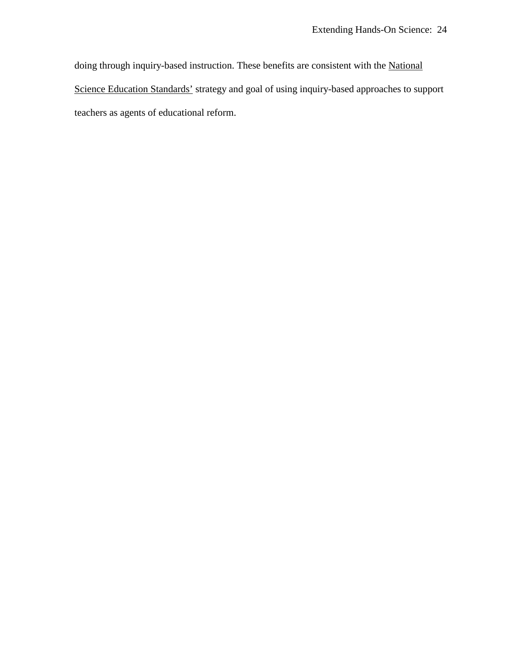doing through inquiry-based instruction. These benefits are consistent with the National Science Education Standards' strategy and goal of using inquiry-based approaches to support teachers as agents of educational reform.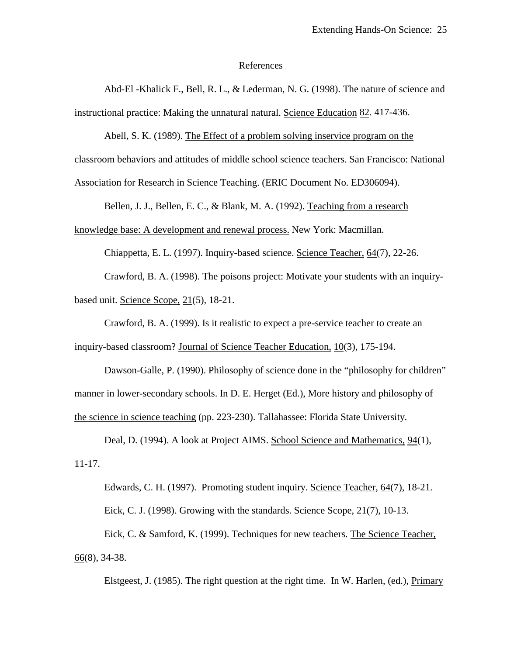### References

 Abd-El -Khalick F., Bell, R. L., & Lederman, N. G. (1998). The nature of science and instructional practice: Making the unnatural natural. Science Education 82. 417-436.

Abell, S. K. (1989). The Effect of a problem solving inservice program on the

classroom behaviors and attitudes of middle school science teachers. San Francisco: National

Association for Research in Science Teaching. (ERIC Document No. ED306094).

Bellen, J. J., Bellen, E. C., & Blank, M. A. (1992). Teaching from a research

knowledge base: A development and renewal process. New York: Macmillan.

Chiappetta, E. L. (1997). Inquiry-based science. Science Teacher, 64(7), 22-26.

 Crawford, B. A. (1998). The poisons project: Motivate your students with an inquirybased unit. Science Scope, 21(5), 18-21.

 Crawford, B. A. (1999). Is it realistic to expect a pre-service teacher to create an inquiry-based classroom? Journal of Science Teacher Education, 10(3), 175-194.

 Dawson-Galle, P. (1990). Philosophy of science done in the "philosophy for children" manner in lower-secondary schools. In D. E. Herget (Ed.), More history and philosophy of the science in science teaching (pp. 223-230). Tallahassee: Florida State University.

 Deal, D. (1994). A look at Project AIMS. School Science and Mathematics, 94(1), 11-17.

 Edwards, C. H. (1997). Promoting student inquiry. Science Teacher, 64(7), 18-21. Eick, C. J. (1998). Growing with the standards. Science Scope, 21(7), 10-13. Eick, C. & Samford, K. (1999). Techniques for new teachers. The Science Teacher,  $66(8)$ , 34-38.

Elstgeest, J. (1985). The right question at the right time. In W. Harlen, (ed.), Primary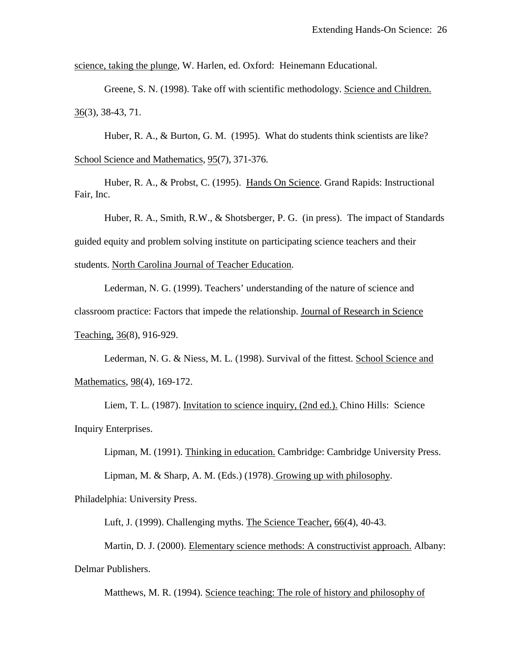science, taking the plunge, W. Harlen, ed. Oxford: Heinemann Educational.

 Greene, S. N. (1998). Take off with scientific methodology. Science and Children.  $36(3)$ , 38-43, 71.

Huber, R. A., & Burton, G. M. (1995). What do students think scientists are like? School Science and Mathematics, 95(7), 371-376.

 Huber, R. A., & Probst, C. (1995). Hands On Science. Grand Rapids: Instructional Fair, Inc.

 Huber, R. A., Smith, R.W., & Shotsberger, P. G. (in press). The impact of Standards guided equity and problem solving institute on participating science teachers and their students. North Carolina Journal of Teacher Education.

 Lederman, N. G. (1999). Teachers' understanding of the nature of science and classroom practice: Factors that impede the relationship. Journal of Research in Science Teaching, 36(8), 916-929.

 Lederman, N. G. & Niess, M. L. (1998). Survival of the fittest. School Science and Mathematics, 98(4), 169-172.

 Liem, T. L. (1987). Invitation to science inquiry, (2nd ed.). Chino Hills: Science Inquiry Enterprises.

Lipman, M. (1991). Thinking in education. Cambridge: Cambridge University Press.

Lipman, M. & Sharp, A. M. (Eds.) (1978). Growing up with philosophy.

Philadelphia: University Press.

Luft, J. (1999). Challenging myths. The Science Teacher, 66(4), 40-43.

 Martin, D. J. (2000). Elementary science methods: A constructivist approach. Albany: Delmar Publishers.

Matthews, M. R. (1994). Science teaching: The role of history and philosophy of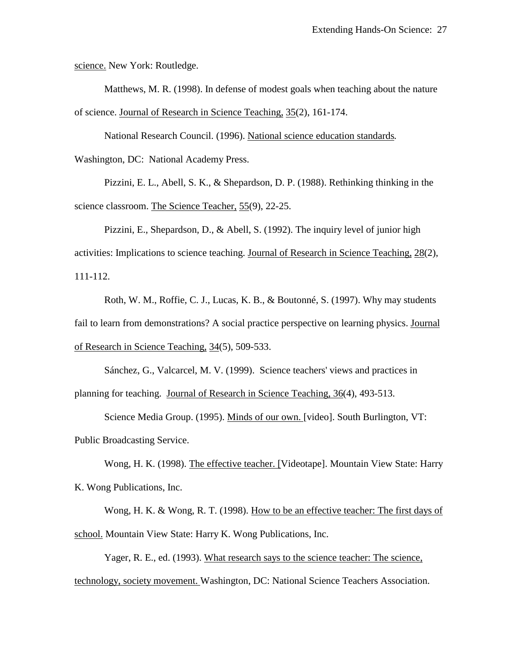science. New York: Routledge.

 Matthews, M. R. (1998). In defense of modest goals when teaching about the nature of science. Journal of Research in Science Teaching, 35(2), 161-174.

 National Research Council. (1996). National science education standards*.*  Washington, DC: National Academy Press.

 Pizzini, E. L., Abell, S. K., & Shepardson, D. P. (1988). Rethinking thinking in the science classroom. The Science Teacher, 55(9), 22-25.

 Pizzini, E., Shepardson, D., & Abell, S. (1992). The inquiry level of junior high activities: Implications to science teaching. Journal of Research in Science Teaching, 28(2), 111-112.

 Roth, W. M., Roffie, C. J., Lucas, K. B., & Boutonné, S. (1997). Why may students fail to learn from demonstrations? A social practice perspective on learning physics. Journal of Research in Science Teaching, 34(5), 509-533.

 Sánchez, G., Valcarcel, M. V. (1999). Science teachers' views and practices in planning for teaching. Journal of Research in Science Teaching, 36(4), 493-513.

 Science Media Group. (1995). Minds of our own. [video]. South Burlington, VT: Public Broadcasting Service.

 Wong, H. K. (1998). The effective teacher. [Videotape]. Mountain View State: Harry K. Wong Publications, Inc.

 Wong, H. K. & Wong, R. T. (1998). How to be an effective teacher: The first days of school. Mountain View State: Harry K. Wong Publications, Inc.

Yager, R. E., ed. (1993). What research says to the science teacher: The science, technology, society movement. Washington, DC: National Science Teachers Association.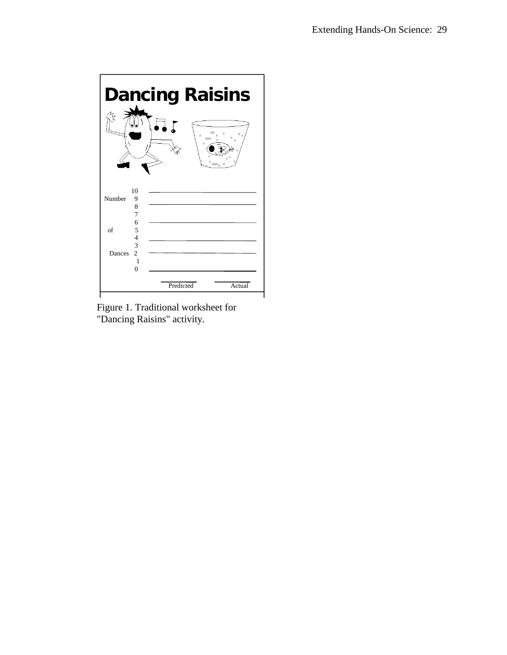

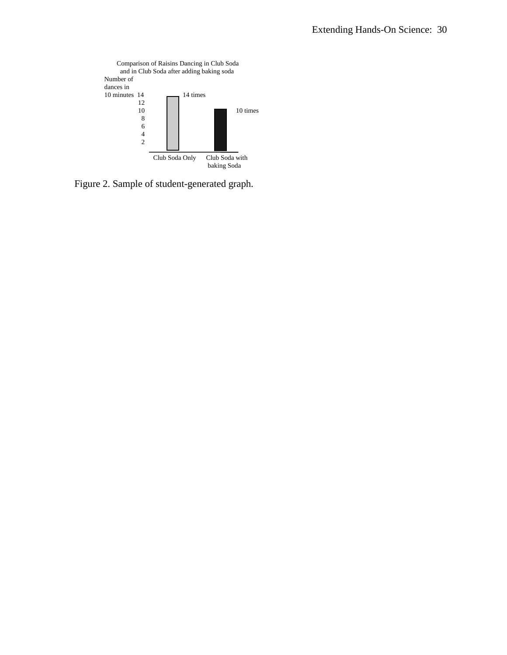

Figure 2. Sample of student-generated graph.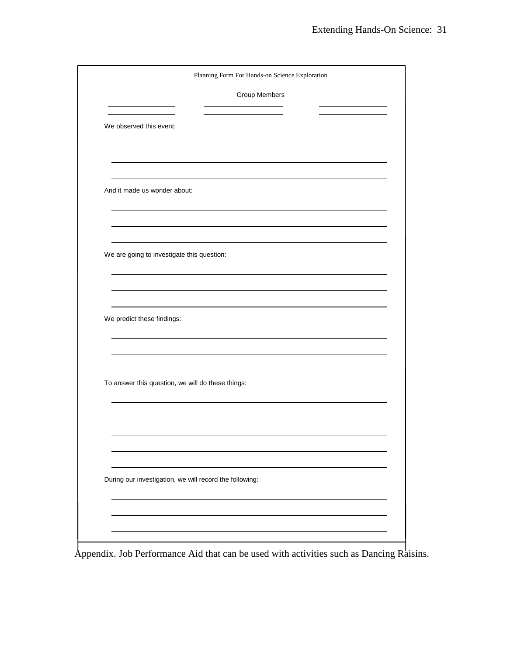|                                            | Planning Form For Hands-on Science Exploration          |  |
|--------------------------------------------|---------------------------------------------------------|--|
|                                            | Group Members                                           |  |
| We observed this event:                    |                                                         |  |
|                                            |                                                         |  |
| And it made us wonder about:               |                                                         |  |
|                                            |                                                         |  |
| We are going to investigate this question: |                                                         |  |
|                                            |                                                         |  |
| We predict these findings:                 |                                                         |  |
|                                            |                                                         |  |
|                                            | To answer this question, we will do these things:       |  |
|                                            |                                                         |  |
|                                            |                                                         |  |
|                                            | During our investigation, we will record the following: |  |
|                                            |                                                         |  |
|                                            |                                                         |  |

Appendix. Job Performance Aid that can be used with activities such as Dancing Raisins.